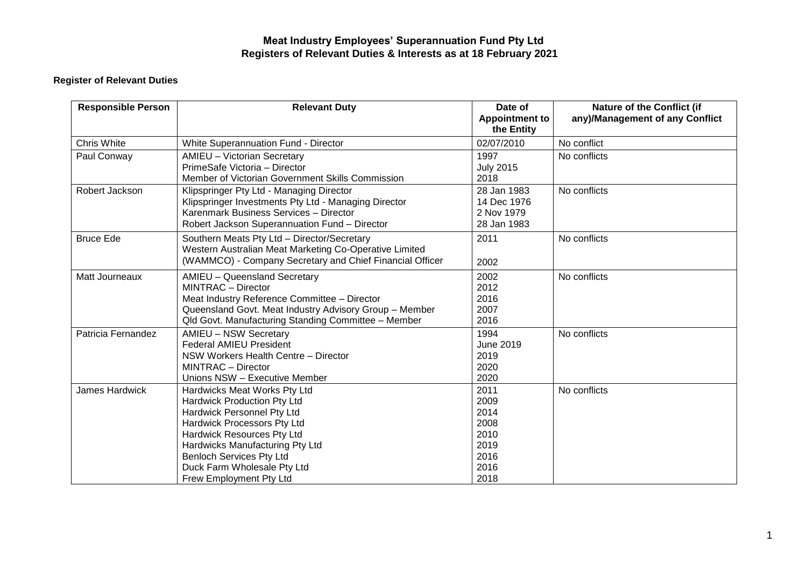## **Meat Industry Employees' Superannuation Fund Pty Ltd Registers of Relevant Duties & Interests as at 18 February 2021**

## **Register of Relevant Duties**

| <b>Responsible Person</b> | <b>Relevant Duty</b>                                                                                                                                                                                                                                                                          | Date of<br><b>Appointment to</b><br>the Entity                       | <b>Nature of the Conflict (if</b><br>any)/Management of any Conflict |
|---------------------------|-----------------------------------------------------------------------------------------------------------------------------------------------------------------------------------------------------------------------------------------------------------------------------------------------|----------------------------------------------------------------------|----------------------------------------------------------------------|
| Chris White               | <b>White Superannuation Fund - Director</b>                                                                                                                                                                                                                                                   | 02/07/2010                                                           | No conflict                                                          |
| Paul Conway               | <b>AMIEU - Victorian Secretary</b><br>PrimeSafe Victoria - Director<br>Member of Victorian Government Skills Commission                                                                                                                                                                       | 1997<br><b>July 2015</b><br>2018                                     | No conflicts                                                         |
| Robert Jackson            | Klipspringer Pty Ltd - Managing Director<br>Klipspringer Investments Pty Ltd - Managing Director<br>Karenmark Business Services - Director<br>Robert Jackson Superannuation Fund - Director                                                                                                   | 28 Jan 1983<br>14 Dec 1976<br>2 Nov 1979<br>28 Jan 1983              | No conflicts                                                         |
| <b>Bruce Ede</b>          | Southern Meats Pty Ltd - Director/Secretary<br>Western Australian Meat Marketing Co-Operative Limited<br>(WAMMCO) - Company Secretary and Chief Financial Officer                                                                                                                             | 2011<br>2002                                                         | No conflicts                                                         |
| Matt Journeaux            | AMIEU - Queensland Secretary<br><b>MINTRAC</b> - Director<br>Meat Industry Reference Committee - Director<br>Queensland Govt. Meat Industry Advisory Group - Member<br>Qld Govt. Manufacturing Standing Committee - Member                                                                    | 2002<br>2012<br>2016<br>2007<br>2016                                 | No conflicts                                                         |
| Patricia Fernandez        | <b>AMIEU - NSW Secretary</b><br><b>Federal AMIEU President</b><br>NSW Workers Health Centre - Director<br><b>MINTRAC</b> - Director<br>Unions NSW - Executive Member                                                                                                                          | 1994<br><b>June 2019</b><br>2019<br>2020<br>2020                     | No conflicts                                                         |
| James Hardwick            | Hardwicks Meat Works Pty Ltd<br><b>Hardwick Production Pty Ltd</b><br>Hardwick Personnel Pty Ltd<br>Hardwick Processors Pty Ltd<br>Hardwick Resources Pty Ltd<br>Hardwicks Manufacturing Pty Ltd<br><b>Benloch Services Pty Ltd</b><br>Duck Farm Wholesale Pty Ltd<br>Frew Employment Pty Ltd | 2011<br>2009<br>2014<br>2008<br>2010<br>2019<br>2016<br>2016<br>2018 | No conflicts                                                         |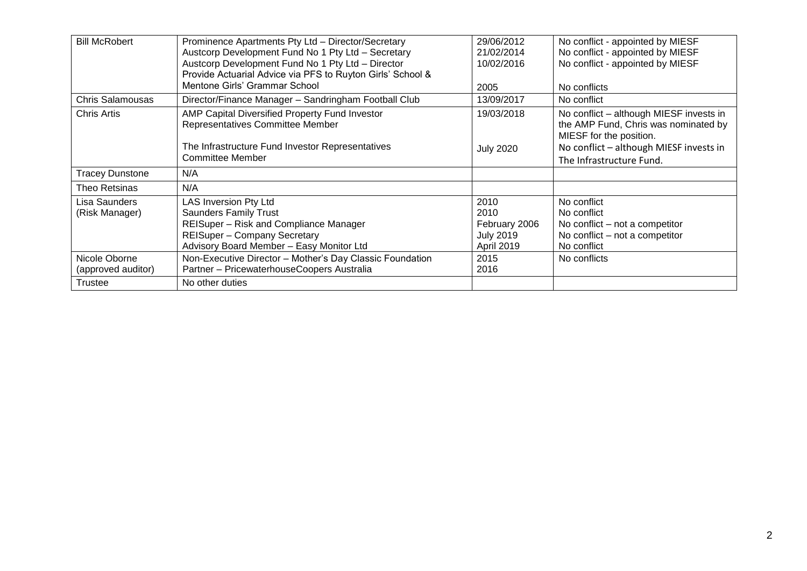| <b>Bill McRobert</b>                | Prominence Apartments Pty Ltd - Director/Secretary<br>Austcorp Development Fund No 1 Pty Ltd - Secretary<br>Austcorp Development Fund No 1 Pty Ltd - Director<br>Provide Actuarial Advice via PFS to Ruyton Girls' School &<br>Mentone Girls' Grammar School | 29/06/2012<br>21/02/2014<br>10/02/2016<br>2005                  | No conflict - appointed by MIESF<br>No conflict - appointed by MIESF<br>No conflict - appointed by MIESF<br>No conflicts |
|-------------------------------------|--------------------------------------------------------------------------------------------------------------------------------------------------------------------------------------------------------------------------------------------------------------|-----------------------------------------------------------------|--------------------------------------------------------------------------------------------------------------------------|
| <b>Chris Salamousas</b>             | Director/Finance Manager - Sandringham Football Club                                                                                                                                                                                                         | 13/09/2017                                                      | No conflict                                                                                                              |
| Chris Artis                         | AMP Capital Diversified Property Fund Investor<br>Representatives Committee Member                                                                                                                                                                           | 19/03/2018                                                      | No conflict – although MIESF invests in<br>the AMP Fund, Chris was nominated by<br>MIESF for the position.               |
|                                     | The Infrastructure Fund Investor Representatives<br><b>Committee Member</b>                                                                                                                                                                                  | <b>July 2020</b>                                                | No conflict - although MIESF invests in<br>The Infrastructure Fund.                                                      |
| <b>Tracey Dunstone</b>              | N/A                                                                                                                                                                                                                                                          |                                                                 |                                                                                                                          |
| Theo Retsinas                       | N/A                                                                                                                                                                                                                                                          |                                                                 |                                                                                                                          |
| Lisa Saunders<br>(Risk Manager)     | LAS Inversion Pty Ltd<br><b>Saunders Family Trust</b><br>REISuper - Risk and Compliance Manager<br><b>REISuper - Company Secretary</b><br>Advisory Board Member - Easy Monitor Ltd                                                                           | 2010<br>2010<br>February 2006<br><b>July 2019</b><br>April 2019 | No conflict<br>No conflict<br>No conflict – not a competitor<br>No conflict – not a competitor<br>No conflict            |
| Nicole Oborne<br>(approved auditor) | Non-Executive Director - Mother's Day Classic Foundation<br>Partner - PricewaterhouseCoopers Australia                                                                                                                                                       | 2015<br>2016                                                    | No conflicts                                                                                                             |
| Trustee                             | No other duties                                                                                                                                                                                                                                              |                                                                 |                                                                                                                          |